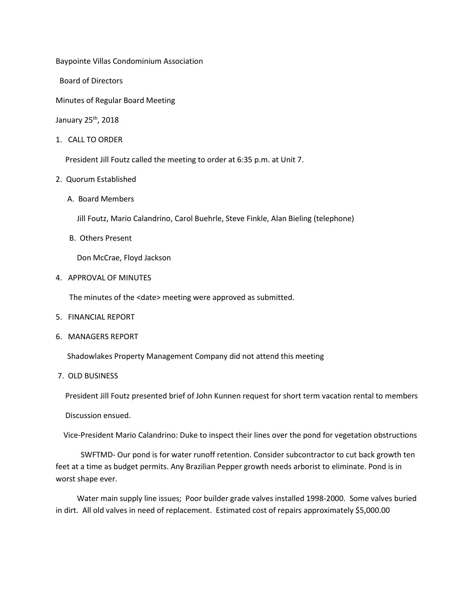Baypointe Villas Condominium Association

Board of Directors

Minutes of Regular Board Meeting

January 25th, 2018

1. CALL TO ORDER

President Jill Foutz called the meeting to order at 6:35 p.m. at Unit 7.

- 2. Quorum Established
	- A. Board Members

Jill Foutz, Mario Calandrino, Carol Buehrle, Steve Finkle, Alan Bieling (telephone)

B. Others Present

Don McCrae, Floyd Jackson

4. APPROVAL OF MINUTES

The minutes of the <date> meeting were approved as submitted.

- 5. FINANCIAL REPORT
- 6. MANAGERS REPORT

Shadowlakes Property Management Company did not attend this meeting

7. OLD BUSINESS

President Jill Foutz presented brief of John Kunnen request for short term vacation rental to members

Discussion ensued.

Vice-President Mario Calandrino: Duke to inspect their lines over the pond for vegetation obstructions

 SWFTMD- Our pond is for water runoff retention. Consider subcontractor to cut back growth ten feet at a time as budget permits. Any Brazilian Pepper growth needs arborist to eliminate. Pond is in worst shape ever.

 Water main supply line issues; Poor builder grade valves installed 1998-2000. Some valves buried in dirt. All old valves in need of replacement. Estimated cost of repairs approximately \$5,000.00